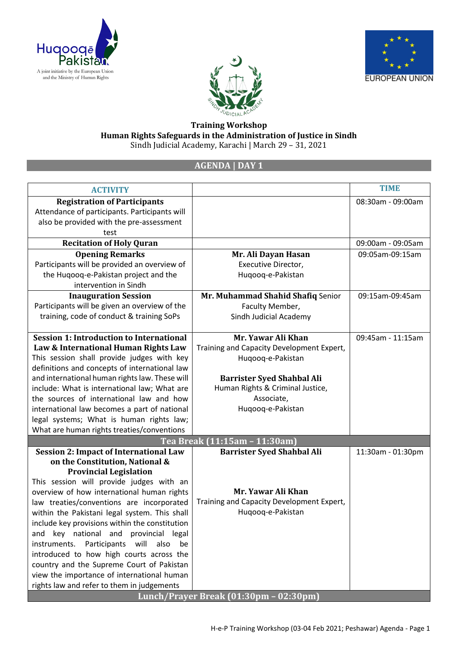





## **Training Workshop Human Rights Safeguards in the Administration of Justice in Sindh** Sindh Judicial Academy, Karachi | March 29 – 31, 2021

## **AGENDA | DAY 1**

| <b>ACTIVITY</b>                                    |                                           | <b>TIME</b>       |
|----------------------------------------------------|-------------------------------------------|-------------------|
| <b>Registration of Participants</b>                |                                           | 08:30am - 09:00am |
| Attendance of participants. Participants will      |                                           |                   |
| also be provided with the pre-assessment           |                                           |                   |
| test                                               |                                           |                   |
| <b>Recitation of Holy Quran</b>                    |                                           | 09:00am - 09:05am |
| <b>Opening Remarks</b>                             | Mr. Ali Dayan Hasan                       | 09:05am-09:15am   |
| Participants will be provided an overview of       | Executive Director,                       |                   |
| the Huqooq-e-Pakistan project and the              | Huqooq-e-Pakistan                         |                   |
| intervention in Sindh                              |                                           |                   |
| <b>Inauguration Session</b>                        | Mr. Muhammad Shahid Shafiq Senior         | 09:15am-09:45am   |
| Participants will be given an overview of the      | Faculty Member,                           |                   |
| training, code of conduct & training SoPs          | Sindh Judicial Academy                    |                   |
|                                                    |                                           |                   |
| <b>Session 1: Introduction to International</b>    | Mr. Yawar Ali Khan                        | 09:45am - 11:15am |
| Law & International Human Rights Law               | Training and Capacity Development Expert, |                   |
| This session shall provide judges with key         | Huqooq-e-Pakistan                         |                   |
| definitions and concepts of international law      |                                           |                   |
| and international human rights law. These will     | <b>Barrister Syed Shahbal Ali</b>         |                   |
| include: What is international law; What are       | Human Rights & Criminal Justice,          |                   |
| the sources of international law and how           | Associate,                                |                   |
| international law becomes a part of national       | Huqooq-e-Pakistan                         |                   |
| legal systems; What is human rights law;           |                                           |                   |
| What are human rights treaties/conventions         |                                           |                   |
|                                                    | <u>Tea Break (11:15am - 11:30am)</u>      |                   |
| <b>Session 2: Impact of International Law</b>      | <b>Barrister Syed Shahbal Ali</b>         | 11:30am - 01:30pm |
| on the Constitution, National &                    |                                           |                   |
| <b>Provincial Legislation</b>                      |                                           |                   |
| This session will provide judges with an           |                                           |                   |
| overview of how international human rights         | Mr. Yawar Ali Khan                        |                   |
| law treaties/conventions are incorporated          | Training and Capacity Development Expert, |                   |
| within the Pakistani legal system. This shall      | Huqooq-e-Pakistan                         |                   |
| include key provisions within the constitution     |                                           |                   |
| and key national and provincial legal              |                                           |                   |
| instruments.<br>Participants<br>will<br>also<br>be |                                           |                   |
| introduced to how high courts across the           |                                           |                   |
| country and the Supreme Court of Pakistan          |                                           |                   |
| view the importance of international human         |                                           |                   |
| rights law and refer to them in judgements         |                                           |                   |
|                                                    | Lunch/Prayer Break (01:30pm - 02:30pm)    |                   |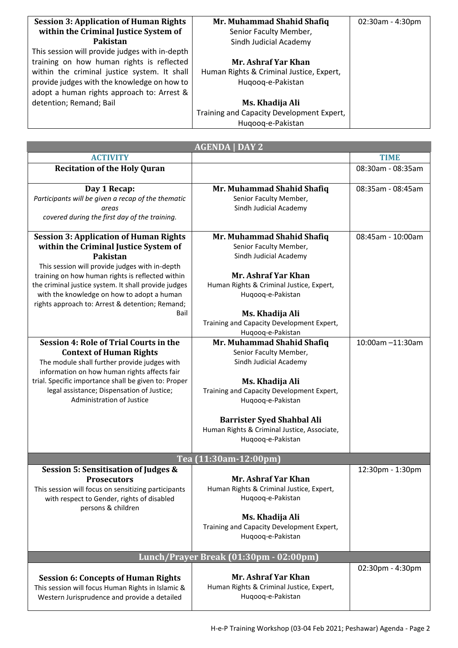| <b>Session 3: Application of Human Rights</b>  | Mr. Muhammad Shahid Shafiq                | 02:30am - 4:30pm |
|------------------------------------------------|-------------------------------------------|------------------|
| within the Criminal Justice System of          | Senior Faculty Member,                    |                  |
| Pakistan                                       | Sindh Judicial Academy                    |                  |
| This session will provide judges with in-depth |                                           |                  |
| training on how human rights is reflected      | Mr. Ashraf Yar Khan                       |                  |
| within the criminal justice system. It shall   | Human Rights & Criminal Justice, Expert,  |                  |
| provide judges with the knowledge on how to    | Hugoog-e-Pakistan                         |                  |
| adopt a human rights approach to: Arrest &     |                                           |                  |
| detention; Remand; Bail                        | Ms. Khadija Ali                           |                  |
|                                                | Training and Capacity Development Expert, |                  |
|                                                | Hugoog-e-Pakistan                         |                  |

| <b>AGENDA   DAY 2</b>                                                                             |                                                                                  |                   |  |  |
|---------------------------------------------------------------------------------------------------|----------------------------------------------------------------------------------|-------------------|--|--|
| <b>ACTIVITY</b>                                                                                   |                                                                                  | <b>TIME</b>       |  |  |
| <b>Recitation of the Holy Quran</b>                                                               |                                                                                  | 08:30am - 08:35am |  |  |
|                                                                                                   |                                                                                  |                   |  |  |
| Day 1 Recap:                                                                                      | Mr. Muhammad Shahid Shafiq                                                       | 08:35am - 08:45am |  |  |
| Participants will be given a recap of the thematic                                                | Senior Faculty Member,                                                           |                   |  |  |
| areas                                                                                             | Sindh Judicial Academy                                                           |                   |  |  |
| covered during the first day of the training.                                                     |                                                                                  |                   |  |  |
| <b>Session 3: Application of Human Rights</b>                                                     | Mr. Muhammad Shahid Shafiq                                                       | 08:45am - 10:00am |  |  |
| within the Criminal Justice System of                                                             | Senior Faculty Member,                                                           |                   |  |  |
| <b>Pakistan</b>                                                                                   | Sindh Judicial Academy                                                           |                   |  |  |
| This session will provide judges with in-depth                                                    |                                                                                  |                   |  |  |
| training on how human rights is reflected within                                                  | Mr. Ashraf Yar Khan                                                              |                   |  |  |
| the criminal justice system. It shall provide judges                                              | Human Rights & Criminal Justice, Expert,                                         |                   |  |  |
| with the knowledge on how to adopt a human                                                        | Huqooq-e-Pakistan                                                                |                   |  |  |
| rights approach to: Arrest & detention; Remand;                                                   |                                                                                  |                   |  |  |
| Bail                                                                                              | Ms. Khadija Ali                                                                  |                   |  |  |
|                                                                                                   | Training and Capacity Development Expert,                                        |                   |  |  |
| Session 4: Role of Trial Courts in the                                                            | Huqooq-e-Pakistan<br>Mr. Muhammad Shahid Shafiq                                  | 10:00am -11:30am  |  |  |
| <b>Context of Human Rights</b>                                                                    | Senior Faculty Member,                                                           |                   |  |  |
| The module shall further provide judges with                                                      | Sindh Judicial Academy                                                           |                   |  |  |
| information on how human rights affects fair                                                      |                                                                                  |                   |  |  |
| trial. Specific importance shall be given to: Proper                                              | Ms. Khadija Ali                                                                  |                   |  |  |
| legal assistance; Dispensation of Justice;                                                        | Training and Capacity Development Expert,                                        |                   |  |  |
| Administration of Justice                                                                         | Huqooq-e-Pakistan                                                                |                   |  |  |
|                                                                                                   |                                                                                  |                   |  |  |
|                                                                                                   | <b>Barrister Syed Shahbal Ali</b><br>Human Rights & Criminal Justice, Associate, |                   |  |  |
|                                                                                                   | Huqooq-e-Pakistan                                                                |                   |  |  |
|                                                                                                   |                                                                                  |                   |  |  |
|                                                                                                   | Tea (11:30am-12:00pm)                                                            |                   |  |  |
| <b>Session 5: Sensitisation of Judges &amp;</b>                                                   |                                                                                  | 12:30pm - 1:30pm  |  |  |
| <b>Prosecutors</b>                                                                                | Mr. Ashraf Yar Khan                                                              |                   |  |  |
| This session will focus on sensitizing participants<br>with respect to Gender, rights of disabled | Human Rights & Criminal Justice, Expert,<br>Huqooq-e-Pakistan                    |                   |  |  |
| persons & children                                                                                |                                                                                  |                   |  |  |
|                                                                                                   | Ms. Khadija Ali                                                                  |                   |  |  |
|                                                                                                   | Training and Capacity Development Expert,                                        |                   |  |  |
|                                                                                                   | Huqooq-e-Pakistan                                                                |                   |  |  |
|                                                                                                   |                                                                                  |                   |  |  |
| Lunch/Prayer Break (01:30pm - 02:00pm)                                                            |                                                                                  |                   |  |  |
| <b>Session 6: Concepts of Human Rights</b>                                                        | Mr. Ashraf Yar Khan                                                              | 02:30pm - 4:30pm  |  |  |
| This session will focus Human Rights in Islamic &                                                 | Human Rights & Criminal Justice, Expert,                                         |                   |  |  |
| Western Jurisprudence and provide a detailed                                                      | Huqooq-e-Pakistan                                                                |                   |  |  |
|                                                                                                   |                                                                                  |                   |  |  |